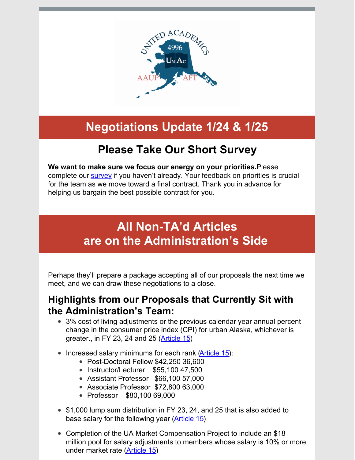

# **Negotiations Update 1/24 & 1/25**

## **Please Take Our Short Survey**

**We want to make sure we focus our energy on your priorities.**Please complete our **[survey](https://docs.google.com/forms/d/e/1FAIpQLSellFoK-BAcssMUfH73XsawuyPp9MkMYmVha5wjg0aCfgeUTw/viewform?usp=sf_link)** if you haven't already. Your feedback on priorities is crucial for the team as we move toward a final contract. Thank you in advance for helping us bargain the best possible contract for you.

## **All Non-TA'd Articles are on the Administration's Side**

Perhaps they'll prepare a package accepting all of our proposals the next time we meet, and we can draw these negotiations to a close.

#### **Highlights from our Proposals that Currently Sit with the Administration's Team:**

- 3% cost of living adjustments or the previous calendar year annual percent change in the consumer price index (CPI) for urban Alaska, whichever is greater., in FY 23, 24 and 25 [\(Article](http://unitedacademics.net/wp-content/uploads/2021/10/Article-15-UNAC-proposal-10-18.pdf) 15)
- Increased salary minimums for each rank [\(Article](http://unitedacademics.net/wp-content/uploads/2021/10/Article-15-UNAC-proposal-10-18.pdf) 15):
	- Post-Doctoral Fellow \$42,250 36,600
	- Instructor/Lecturer \$55,100 47,500
	- Assistant Professor \$66,100 57,000
	- Associate Professor \$72,800 63,000
	- Professor \$80,100 69,000
- \$1,000 lump sum distribution in FY 23, 24, and 25 that is also added to base salary for the following year [\(Article](http://unitedacademics.net/wp-content/uploads/2021/10/Article-15-UNAC-proposal-10-18.pdf) 15)
- Completion of the UA Market Compensation Project to include an \$18 million pool for salary adjustments to members whose salary is 10% or more under market rate [\(Article](http://unitedacademics.net/wp-content/uploads/2021/10/Article-15-UNAC-proposal-10-18.pdf) 15)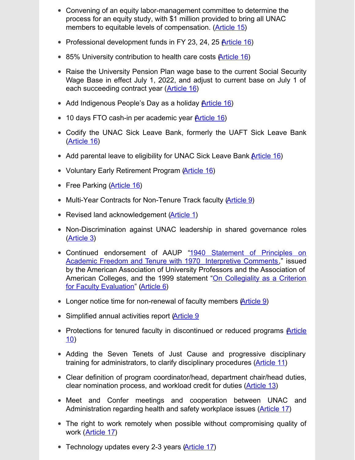- Convening of an equity labor-management committee to determine the process for an equity study, with \$1 million provided to bring all UNAC members to equitable levels of compensation. [\(Article](http://unitedacademics.net/wp-content/uploads/2021/10/Article-15-UNAC-proposal-10-18.pdf) 15)
- Professional development funds in FY 23, 24, 25 Article 16)
- 85% University contribution to health care costs [\(Article](http://unitedacademics.net/wp-content/uploads/2021/10/Article-16-UNAC-10-19.pdf) 16)
- Raise the University Pension Plan wage base to the current Social Security Wage Base in effect July 1, 2022, and adjust to current base on July 1 of each succeeding contract year ([Article](http://unitedacademics.net/wp-content/uploads/2021/10/Article-16-UNAC-10-19.pdf) 16)
- Add Indigenous People's Day as a holiday Article 16)
- 10 days FTO cash-in per academic year *[\(Article](http://unitedacademics.net/wp-content/uploads/2021/10/Article-16-UNAC-10-19.pdf) 16)*
- Codify the UNAC Sick Leave Bank, formerly the UAFT Sick Leave Bank [\(Article](http://unitedacademics.net/wp-content/uploads/2021/10/Article-16-UNAC-10-19.pdf) 16)
- Add parental leave to eligibility for UNAC Sick Leave Bank A[rticle](http://unitedacademics.net/wp-content/uploads/2021/10/Article-16-UNAC-10-19.pdf) 16)
- Voluntary Early Retirement Program [\(Article](http://unitedacademics.net/wp-content/uploads/2021/10/Article-16-UNAC-10-19.pdf) 16)
- Free Parking [\(Article](http://unitedacademics.net/wp-content/uploads/2021/10/Article-16-UNAC-10-19.pdf) 16)
- Multi-Year Contracts for Non-Tenure Track faculty [\(Article](http://unitedacademics.net/wp-content/uploads/2021/11/Article-9-UNAC-Counter-11-16.pdf) 9)
- Revised land acknowledgement (**Article 1**)
- Non-Discrimination against UNAC leadership in shared governance roles [\(Article](http://unitedacademics.net/wp-content/uploads/2021/11/Art-3-UNAC-Counter-11_16.pdf) 3)
- Continued [endorsement](https://www.google.com/url?sa=t&rct=j&q=&esrc=s&source=web&cd=&cad=rja&uact=8&ved=2ahUKEwiA7NqpktX1AhVHH0QIHYbOCOwQFnoECA0QAQ&url=https%3A%2F%2Fwww.aaup.org%2Freport%2F1940-statement-principles-academic-freedom-and-tenure&usg=AOvVaw16VBh4bSPxIZ6sHvZbI8fV) of AAUP "1940 Statement of Principles on Academic Freedom and Tenure with 1970 Interpretive Comments," issued by the American Association of University Professors and the Association of American Colleges, and the 1999 statement "On Collegiality as a Criterion for Faculty [Evaluation"](https://www.google.com/url?sa=t&rct=j&q=&esrc=s&source=web&cd=&cad=rja&uact=8&ved=2ahUKEwi-mLzUktX1AhUVJUQIHa8bASQQFnoECAcQAw&url=https%3A%2F%2Fwww.aaup.org%2Freport%2Fcollegiality-criterion-faculty-evaluation&usg=AOvVaw1gHBIDblhMX-mWcHiYb_hz) [\(Article](http://unitedacademics.net/wp-content/uploads/2021/12/Art-6-UNAC-Counter-11-29.pdf) 6)
- Longer notice time for non-renewal of faculty members [\(Article](http://unitedacademics.net/wp-content/uploads/2021/11/Article-9-UNAC-Counter-11-16.pdf) 9)
- Simplified annual activities report [\(Article](http://unitedacademics.net/wp-content/uploads/2021/11/Article-9-UNAC-Counter-11-16.pdf) 9
- Protections for tenured faculty in [discontinued](http://unitedacademics.net/wp-content/uploads/2022/01/Article-10-UNAC-Proposal-1-25-22.pdf) or reduced programs **Article** 10)
- Adding the Seven Tenets of Just Cause and progressive disciplinary training for administrators, to clarify disciplinary procedures [\(Article](http://unitedacademics.net/wp-content/uploads/2022/01/Article-11-UNAC-Counter-1-18-22.pdf) 11)
- Clear definition of program coordinator/head, department chair/head duties, clear nomination process, and workload credit for duties [\(Article](http://unitedacademics.net/wp-content/uploads/2021/11/Article-13-UNAC-Counter-11-1-21.pdf) 13)
- Meet and Confer meetings and cooperation between UNAC and Administration regarding health and safety workplace issues [\(Article](http://unitedacademics.net/wp-content/uploads/2021/11/Article-17-UNAC-counterproposal-10-26.pdf) 17)
- The right to work remotely when possible without compromising quality of work [\(Article](http://unitedacademics.net/wp-content/uploads/2021/11/Article-17-UNAC-counterproposal-10-26.pdf) 17)
- Technology updates every 2-3 years [\(Article](http://unitedacademics.net/wp-content/uploads/2021/11/Article-17-UNAC-counterproposal-10-26.pdf) 17)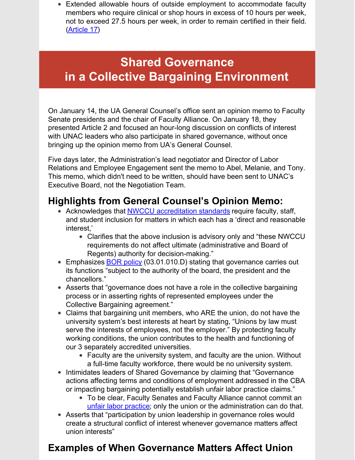Extended allowable hours of outside employment to accommodate faculty members who require clinical or shop hours in excess of 10 hours per week, not to exceed 27.5 hours per week, in order to remain certified in their field. [\(Article](http://unitedacademics.net/wp-content/uploads/2021/11/Article-17-UNAC-counterproposal-10-26.pdf) 17)

## **Shared Governance in a Collective Bargaining Environment**

On January 14, the UA General Counsel's office sent an opinion memo to Faculty Senate presidents and the chair of Faculty Alliance. On January 18, they presented Article 2 and focused an hour-long discussion on conflicts of interest with UNAC leaders who also participate in shared governance, without once bringing up the opinion memo from UA's General Counsel.

Five days later, the Administration's lead negotiator and Director of Labor Relations and Employee Engagement sent the memo to Abel, Melanie, and Tony. This memo, which didn't need to be written, should have been sent to UNAC's Executive Board, not the Negotiation Team.

### **Highlights from General Counsel's Opinion Memo:**

- Acknowledges that **NWCCU** [accreditation](https://nwccu.org/accreditation/standards-policies/standards/) standards require faculty, staff, and student inclusion for matters in which each has a 'direct and reasonable interest,'
	- Clarifies that the above inclusion is advisory only and "these NWCCU requirements do not affect ultimate (administrative and Board of Regents) authority for decision-making."
- **Emphasizes BOR [policy](https://www.alaska.edu/bor/policy-regulations/) (03.01.010.D) stating that governance carries out** its functions "subject to the authority of the board, the president and the chancellors."
- Asserts that "governance does not have a role in the collective bargaining process or in asserting rights of represented employees under the Collective Bargaining agreement."
- Claims that bargaining unit members, who ARE the union, do not have the university system's best interests at heart by stating, "Unions by law must serve the interests of employees, not the employer." By protecting faculty working conditions, the union contributes to the health and functioning of our 3 separately accredited universities.
	- Faculty are the university system, and faculty are the union. Without a full-time faculty workforce, there would be no university system.
- Intimidates leaders of Shared Governance by claiming that "Governance" actions affecting terms and conditions of employment addressed in the CBA or impacting bargaining potentially establish unfair labor practice claims."
	- To be clear, Faculty Senates and Faculty Alliance cannot commit an unfair labor [practice](https://law.justia.com/codes/alaska/2020/title-23/chapter-40/article-2/section-23-40-110/); only the union or the administration can do that.
- Asserts that "participation by union leadership in governance roles would create a structural conflict of interest whenever governance matters affect union interests"

### **Examples of When Governance Matters Affect Union**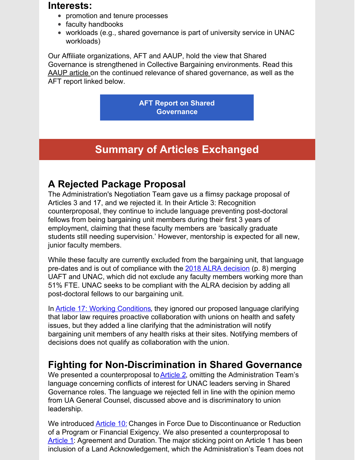#### **Interests:**

- promotion and tenure processes
- faculty handbooks
- workloads (e.g., shared governance is part of university service in UNAC workloads)

Our Affiliate organizations, AFT and AAUP, hold the view that Shared Governance is strengthened in Collective Bargaining environments. Read this [AAUP](https://www.aaup.org/article/reaffirming-principles-academic-government#.YesM8_iUthH) article on the continued relevance of shared governance, as well as the AFT report linked below.

> **AFT Report on Shared [Governance](https://files.constantcontact.com/4d5d67b2801/99be1287-76bd-435b-b9de-e5838089302b.pdf)**

## **Summary of Articles Exchanged**

### **A Rejected Package Proposal**

The Administration's Negotiation Team gave us a flimsy package proposal of Articles 3 and 17, and we rejected it. In their Article 3: Recognition counterproposal, they continue to include language preventing post-doctoral fellows from being bargaining unit members during their first 3 years of employment, claiming that these faculty members are 'basically graduate students still needing supervision.' However, mentorship is expected for all new, junior faculty members.

While these faculty are currently excluded from the bargaining unit, that language pre-dates and is out of compliance with the 2018 ALRA [decision](https://files.constantcontact.com/4d5d67b2801/b7768dbb-c2c5-4cf5-acd2-e29c31e97af2.pdf) (p. 8) merging UAFT and UNAC, which did not exclude any faculty members working more than 51% FTE. UNAC seeks to be compliant with the ALRA decision by adding all post-doctoral fellows to our bargaining unit.

In **Article 17: Working [Conditions](http://unitedacademics.net/wp-content/uploads/2021/11/Article-17-UNAC-counterproposal-10-26.pdf)**, they ignored our proposed language clarifying that labor law requires proactive collaboration with unions on health and safety issues, but they added a line clarifying that the administration will notify bargaining unit members of any health risks at their sites. Notifying members of decisions does not qualify as collaboration with the union.

### **Fighting for Non-Discrimination in Shared Governance**

We presented a counterproposal to **[Article](http://unitedacademics.net/wp-content/uploads/2022/01/Article-2-UNAC-Counter-1-24-22.pdf) 2**, omitting the Administration Team's language concerning conflicts of interest for UNAC leaders serving in Shared Governance roles. The language we rejected fell in line with the opinion memo from UA General Counsel, discussed above and is discriminatory to union leadership.

We introduced **[Article](http://unitedacademics.net/wp-content/uploads/2022/01/Article-10-UNAC-Proposal-1-25-22.pdf) 10[:](http://unitedacademics.net/wp-content/uploads/2022/01/Article-10-UNAC-Proposal-1-25-22.pdf)** Changes in Force Due to Discontinuance or Reduction of a Program or Financial Exigency. We also presented a counterproposal to [Article](http://unitedacademics.net/wp-content/uploads/2022/01/Article-1-UNAC-Counterproposal-1-25-22.pdf) 1: Agreement and Duration. The major sticking point on Article 1 has been inclusion of a Land Acknowledgement, which the Administration's Team does not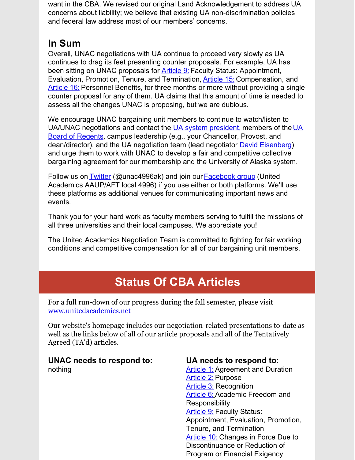want in the CBA. We revised our original Land Acknowledgement to address UA concerns about liability; we believe that existing UA non-discrimination policies and federal law address most of our members' concerns.

### **In Sum**

Overall, UNAC negotiations with UA continue to proceed very slowly as UA continues to drag its feet presenting counter proposals. For example, UA has been sitting on UNAC proposals for [Article](http://unitedacademics.net/wp-content/uploads/2021/11/Article-9-UNAC-Counter-11-16.pdf) 9[:](http://unitedacademics.net/wp-content/uploads/2021/11/Article-9-UNAC-Counter-11-16.pdf) Faculty Status: Appointment, Evaluation, Promotion, Tenure, and Termination, [Article](http://unitedacademics.net/wp-content/uploads/2021/10/Article-15-UNAC-proposal-10-18.pdf) 15[:](http://unitedacademics.net/wp-content/uploads/2021/10/Article-15-UNAC-proposal-10-18.pdf) Compensation, and [Article](http://unitedacademics.net/wp-content/uploads/2021/10/Article-16-UNAC-10-19.pdf) 16[:](http://unitedacademics.net/wp-content/uploads/2021/10/Article-16-UNAC-10-19.pdf) Personnel Benefits, for three months or more without providing a single counter proposal for any of them. UA claims that this amount of time is needed to assess all the changes UNAC is proposing, but we are dubious.

We encourage UNAC bargaining unit members to continue to watch/listen to UA/UNAC [negotiations](mailto:ua-bor@alaska.edu) and contact the UA system [president,](mailto:ua.president@alaska.edu) members of the UA Board of Regents, campus leadership (e.g., your Chancellor, Provost, and dean/director), and the UA negotiation team (lead negotiator David [Eisenberg](mailto:dce@davidceisenberg.com)) and urge them to work with UNAC to develop a fair and competitive collective bargaining agreement for our membership and the University of Alaska system.

Follow us on [Twitter](https://twitter.com/unac4996AK) (@unac4996ak) and join our [Facebook](https://www.facebook.com/groups/875916453106146) group (United Academics AAUP/AFT local 4996) if you use either or both platforms. We'll use these platforms as additional venues for communicating important news and events.

Thank you for your hard work as faculty members serving to fulfill the missions of all three universities and their local campuses. We appreciate you!

The United Academics Negotiation Team is committed to fighting for fair working conditions and competitive compensation for all of our bargaining unit members.

# **Status Of CBA Articles**

For a full run-down of our progress during the fall semester, please visit [www.unitedacademics.net](http://unitedacademics.net/)

Our website's homepage includes our negotiation-related presentations to-date as well as the links below of all of our article proposals and all of the Tentatively Agreed (TA'd) articles.

#### **UNAC needs to respond to:**

nothing

#### **UA needs to respond to**:

**[Article](http://unitedacademics.net/wp-content/uploads/2022/01/Article-1-UNAC-Counterproposal-1-25-22.pdf) 1: Agreement and Duration** [Article](http://unitedacademics.net/wp-content/uploads/2022/01/Article-2-UNAC-Counter-1-24-22.pdf) 2: Purpose [Article](http://unitedacademics.net/wp-content/uploads/2021/11/Art-3-UNAC-Counter-11_16.pdf) 3: Recognition **[Article](http://unitedacademics.net/wp-content/uploads/2021/12/Art-6-UNAC-Counter-11-29.pdf) 6: Academic Freedom and Responsibility** [Article](http://unitedacademics.net/wp-content/uploads/2021/11/Article-9-UNAC-Counter-11-16.pdf) 9: Faculty Status: Appointment, Evaluation, Promotion, Tenure, and Termination [Article](http://unitedacademics.net/wp-content/uploads/2022/01/Article-10-UNAC-Proposal-1-25-22.pdf) 10: Changes in Force Due to Discontinuance or Reduction of Program or Financial Exigency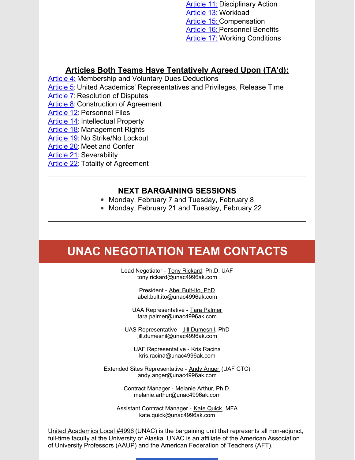**[Article](http://unitedacademics.net/wp-content/uploads/2022/01/Article-11-UNAC-Counter-1-18-22.pdf) 11: Disciplinary Action** [Article](http://unitedacademics.net/wp-content/uploads/2021/11/Article-13-UNAC-Counter-11-1-21.pdf) 13: Workload [Article](http://unitedacademics.net/wp-content/uploads/2021/10/Article-15-UNAC-proposal-10-18.pdf) 15: Compensation [Article](http://unitedacademics.net/wp-content/uploads/2021/10/Article-16-UNAC-10-19.pdf) 16: Personnel Benefits **[Article](http://unitedacademics.net/wp-content/uploads/2021/11/Article-17-UNAC-counterproposal-10-26.pdf) 17: Working Conditions** 

#### **Articles Both Teams Have Tentatively Agreed Upon (TA'd):**

[Article](http://unitedacademics.net/wp-content/uploads/2022/01/Article-4-TAd-1-19-22.pdf) 4: Membership and Voluntary Dues Deductions

- [Article](http://unitedacademics.net/wp-content/uploads/2022/01/Article-5-TAd-1-19-22.pdf) 5: United Academics' Representatives and Privileges, Release Time
- [Article](http://unitedacademics.net/wp-content/uploads/2022/01/Article-7-TAd-1-19-22.pdf) 7: Resolution of Disputes

[Article](http://unitedacademics.net/wp-content/uploads/2021/09/Article-8-TAd-on-9.21.21.pdf) 8: Construction of Agreement

[Article](http://unitedacademics.net/wp-content/uploads/2021/12/Article-12-TAd-11-29-21.pdf) 12: Personnel Files

- [Article](http://unitedacademics.net/wp-content/uploads/2022/01/Article-14-TAd-on-9.21.21.pdf) 14: Intellectual Property
- [Article](http://unitedacademics.net/wp-content/uploads/2021/10/Article-18-TAd-10-19-21.pdf) 18: Management Rights
- [Article](http://unitedacademics.net/wp-content/uploads/2021/09/Article-19-TAed-8-31.pdf) 19: No Strike/No Lockout
- [Article](http://unitedacademics.net/wp-content/uploads/2021/10/ARTICLE-20-TAd-10.5.21.pdf) 20: Meet and Confer
- [Article](http://unitedacademics.net/wp-content/uploads/2021/09/Article-21-TAed-8-31.pdf) 21: Severability
- [Article](http://unitedacademics.net/wp-content/uploads/2021/09/Article-22-TAd-on-9.21.21.pdf) 22: Totality of Agreement

#### **NEXT BARGAINING SESSIONS**

- Monday, February 7 and Tuesday, February 8
- Monday, February 21 and Tuesday, February 22

## **UNAC NEGOTIATION TEAM CONTACTS**

Lead Negotiator - Tony Rickard, Ph.D. UAF tony.rickard@unac4996ak.com

> President - Abel Bult-Ito, PhD abel.bult.ito@unac4996ak.com

UAA Representative - Tara [Palmer](mailto:tmsmith@alaska.edu) tara.palmer@unac4996ak.com

UAS Representative - Jill Dumesnil, PhD jill.dumesnil@unac4996ak.com

UAF Representative - Kris Racina kris.racina@unac4996ak.com

Extended Sites Representative - Andy Anger (UAF CTC) andy.anger@unac4996ak.com

> Contract Manager - [Melanie](mailto:melanie.arthur@unac4996ak.com) Arthur, Ph.D. melanie.arthur@unac4996ak.com

Assistant Contract Manager - Kate [Quick](mailto:kate.quick@unac4996AK.com), MFA kate.quick@unac4996ak.com

United [Academics](http://unitedacademics.net/) Local #4996 (UNAC) is the bargaining unit that represents all non-adjunct, full-time faculty at the University of Alaska. UNAC is an affiliate of the American Association of University Professors (AAUP) and the American Federation of Teachers (AFT).